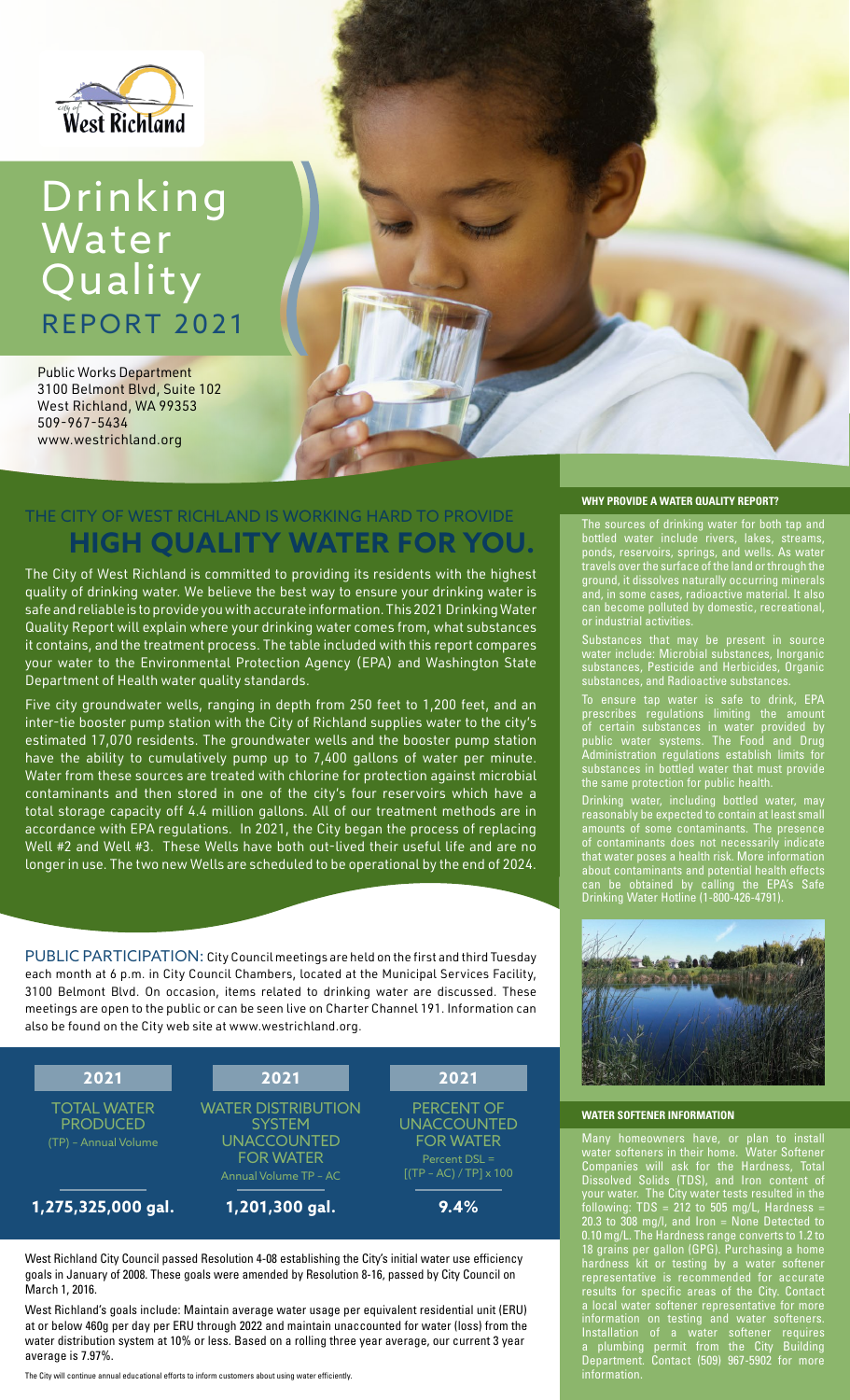

# Drinking Water Quality REPORT 2021

Public Works Department 3100 Belmont Blvd, Suite 102 West Richland, WA 99353 509-967-5434 www.westrichland.org

## THE CITY OF WEST RICHLAND IS WORKING HARD TO PROVIDE **HIGH QUALITY WATER FOR YOU.**

The City of West Richland is committed to providing its residents with the highest quality of drinking water. We believe the best way to ensure your drinking water is safe and reliable is to provide you with accurate information. This 2021 Drinking Water Quality Report will explain where your drinking water comes from, what substances it contains, and the treatment process. The table included with this report compares your water to the Environmental Protection Agency (EPA) and Washington State Department of Health water quality standards.

Five city groundwater wells, ranging in depth from 250 feet to 1,200 feet, and an inter-tie booster pump station with the City of Richland supplies water to the city's estimated 17,070 residents. The groundwater wells and the booster pump station have the ability to cumulatively pump up to 7,400 gallons of water per minute. Water from these sources are treated with chlorine for protection against microbial contaminants and then stored in one of the city's four reservoirs which have a total storage capacity off 4.4 million gallons. All of our treatment methods are in accordance with EPA regulations. In 2021, the City began the process of replacing Well #2 and Well #3. These Wells have both out-lived their useful life and are no longer in use. The two new Wells are scheduled to be operational by the end of 2024.

PUBLIC PARTICIPATION: City Council meetings are held on the first and third Tuesday each month at 6 p.m. in City Council Chambers, located at the Municipal Services Facility, 3100 Belmont Blvd. On occasion, items related to drinking water are discussed. These meetings are open to the public or can be seen live on Charter Channel 191. Information can also be found on the City web site at www.westrichland.org.



West Richland City Council passed Resolution 4-08 establishing the City's initial water use efficiency goals in January of 2008. These goals were amended by Resolution 8-16, passed by City Council on March 1, 2016.

West Richland's goals include: Maintain average water usage per equivalent residential unit (ERU) at or below 460g per day per ERU through 2022 and maintain unaccounted for water (loss) from the water distribution system at 10% or less. Based on a rolling three year average, our current 3 year average is 7.97%.

The City will continue annual educational efforts to inform customers about using water efficiently.

## **WHY PROVIDE A WATER QUALITY REPORT?**

The sources of drinking water for both tap and bottled water include rivers, lakes, streams, ponds, reservoirs, springs, and wells. As water travels over the surface of the land or through the ground, it dissolves naturally occurring minerals and, in some cases, radioactive material. It also can become polluted by domestic, recreational, or industrial activities.

Substances that may be present in source water include: Microbial substances, Inorganic substances, Pesticide and Herbicides, Organic substances, and Radioactive substances.

To ensure tap water is safe to drink, EPA prescribes regulations limiting the amount of certain substances in water provided by public water systems. The Food and Drug Administration regulations establish limits for substances in bottled water that must provide the same protection for public health.

Drinking water, including bottled water, may reasonably be expected to contain at least small amounts of some contaminants. The presence of contaminants does not necessarily indicate that water poses a health risk. More information about contaminants and potential health effects can be obtained by calling the EPA's Safe Drinking Water Hotline (1-800-426-4791).



#### **WATER SOFTENER INFORMATION**

Many homeowners have, or plan to install water softeners in their home. Water Softener Companies will ask for the Hardness, Total Dissolved Solids (TDS), and Iron content of your water. The City water tests resulted in the following: TDS = 212 to 505 mg/L, Hardness = 20.3 to 308 mg/l, and Iron = None Detected to 0.10 mg/L. The Hardness range converts to 1.2 to 18 grains per gallon (GPG). Purchasing a home hardness kit or testing by a water softener representative is recommended for accurate results for specific areas of the City. Contact a local water softener representative for more information on testing and water softeners. Installation of a water softener requires a plumbing permit from the City Building Department. Contact (509) 967-5902 for more information.